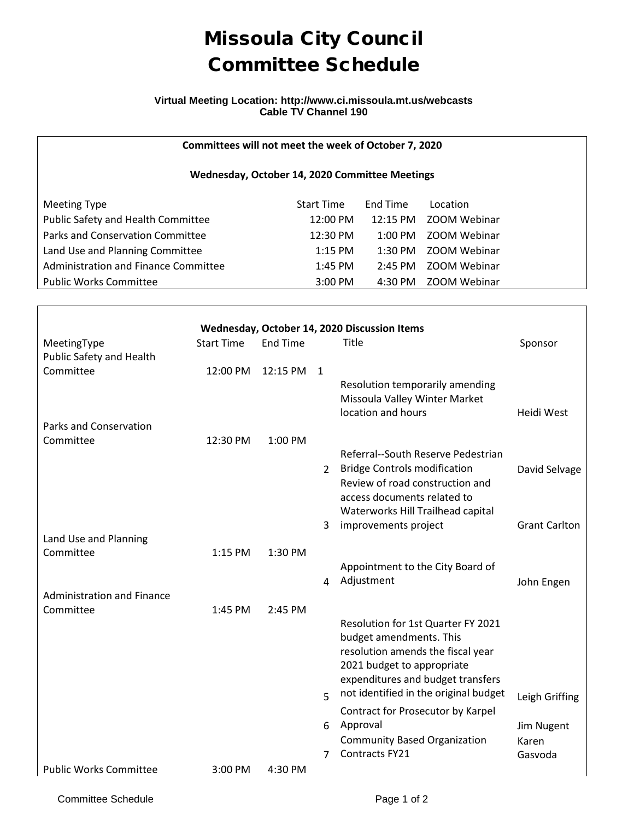# Missoula City Council Committee Schedule

#### **Virtual Meeting Location: http://www.ci.missoula.mt.us/webcasts Cable TV Channel 190**

### **Committees will not meet the week of October 7, 2020**

#### **Wednesday, October 14, 2020 Committee Meetings**

| Meeting Type                         | <b>Start Time</b>  | End Time  | Location     |
|--------------------------------------|--------------------|-----------|--------------|
| Public Safety and Health Committee   | $12:00 \text{ PM}$ | 12:15 PM  | ZOOM Webinar |
| Parks and Conservation Committee     | 12:30 PM           | 1:00 PM   | ZOOM Webinar |
| Land Use and Planning Committee      | $1:15$ PM          | $1:30$ PM | ZOOM Webinar |
| Administration and Finance Committee | $1:45$ PM          | $2:45$ PM | ZOOM Webinar |
| <b>Public Works Committee</b>        | $3:00$ PM          | 4:30 PM   | ZOOM Webinar |

| Wednesday, October 14, 2020 Discussion Items |                   |                 |               |                                                                                                              |                      |  |  |  |
|----------------------------------------------|-------------------|-----------------|---------------|--------------------------------------------------------------------------------------------------------------|----------------------|--|--|--|
| MeetingType<br>Public Safety and Health      | <b>Start Time</b> | <b>End Time</b> |               | Title                                                                                                        | Sponsor              |  |  |  |
| Committee                                    | 12:00 PM          | 12:15 PM        | 1             | Resolution temporarily amending                                                                              |                      |  |  |  |
|                                              |                   |                 |               | Missoula Valley Winter Market<br>location and hours                                                          | Heidi West           |  |  |  |
| <b>Parks and Conservation</b>                |                   |                 |               |                                                                                                              |                      |  |  |  |
| Committee                                    | 12:30 PM          | 1:00 PM         |               |                                                                                                              |                      |  |  |  |
|                                              |                   |                 | $\mathcal{P}$ | Referral--South Reserve Pedestrian<br><b>Bridge Controls modification</b><br>Review of road construction and | David Selvage        |  |  |  |
|                                              |                   |                 |               | access documents related to                                                                                  |                      |  |  |  |
|                                              |                   |                 | 3             | Waterworks Hill Trailhead capital<br>improvements project                                                    | <b>Grant Carlton</b> |  |  |  |
| Land Use and Planning                        |                   |                 |               |                                                                                                              |                      |  |  |  |
| Committee                                    | 1:15 PM           | 1:30 PM         |               |                                                                                                              |                      |  |  |  |
|                                              |                   |                 |               | Appointment to the City Board of                                                                             |                      |  |  |  |
|                                              |                   |                 | 4             | Adjustment                                                                                                   | John Engen           |  |  |  |
| <b>Administration and Finance</b>            |                   |                 |               |                                                                                                              |                      |  |  |  |
| Committee                                    | 1:45 PM           | 2:45 PM         |               | Resolution for 1st Quarter FY 2021<br>budget amendments. This                                                |                      |  |  |  |
|                                              |                   |                 |               | resolution amends the fiscal year<br>2021 budget to appropriate                                              |                      |  |  |  |
|                                              |                   |                 |               | expenditures and budget transfers                                                                            |                      |  |  |  |
|                                              |                   |                 | 5             | not identified in the original budget<br>Contract for Prosecutor by Karpel                                   | Leigh Griffing       |  |  |  |
|                                              |                   |                 | 6             | Approval                                                                                                     | Jim Nugent           |  |  |  |
|                                              |                   |                 |               | <b>Community Based Organization</b>                                                                          | Karen                |  |  |  |
|                                              |                   |                 | 7             | Contracts FY21                                                                                               | Gasvoda              |  |  |  |
| <b>Public Works Committee</b>                | $3:00$ PM         | 4:30 PM         |               |                                                                                                              |                      |  |  |  |